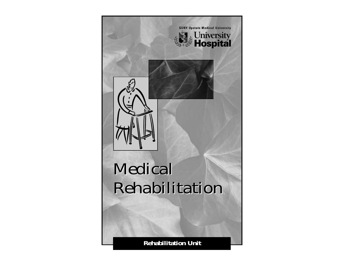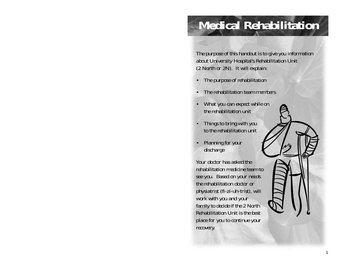# **Medical Rehabilitation**

*The purpose of this handout is to give you information about University Hospital's Rehabilitation Unit (2 North or 2N). It will explain:*

- *• The purpose of rehabilitation*
- *• The rehabilitation team members*
- *• What you can expect while on the rehabilitation unit*
- *• Things to bring with you to the rehabilitation unit*
- *• Planning for your discharge*

*Your doctor has asked the rehabilitation medicine team tosee you. Based on your needs the rehabilitation doctor orphysiatrist (fi-zi-uh-trist), will work with you and your family to decide if the 2 North Rehabilitation Unit is the bestplace for you to continue your recovery.*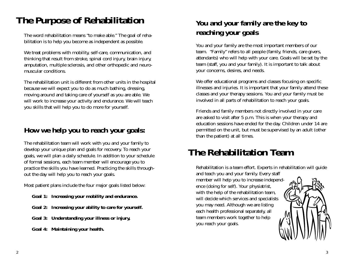## **The Purpose of Rehabilitation**

The word rehabilitation means "to make able." The goal of rehabilitation is to help you become as independent as possible.

We treat problems with mobility, self-care, communication, and thinking that result from stroke, spinal cord injury, brain injury, amputation, multiple sclerosis, and other orthopedic and neuromuscular conditions.

The rehabilitation unit is different from other units in the hospital because we will expect you to do as much bathing, dressing, moving around and taking care of yourself as you are able. We will work to increase your activity and endurance. We will teach you skills that will help you to do more for yourself.

#### **How we help you to reach your goals:**

The rehabilitation team will work with you and your family to develop your unique plan and goals for recovery. To reach your goals, we will plan a daily schedule. In addition to your schedule of formal sessions, each team member will encourage you to practice the skills you have learned. Practicing the skills throughout the day will help you to reach your goals.

Most patient plans include the four major goals listed below:

- **Goal 1: Increasing your mobility and endurance.**
- **Goal 2: Increasing your ability to care for yourself.**
- **Goal 3: Understanding your illness or injury,**
- **Goal 4: Maintaining your health.**

#### **You and your family are the key to reaching your goals**

You and your family are the most important members of our team. "Family" refers to all people (family, friends, care givers, attendants) who will help with your care. Goals will be set by the team (staff, you and your family). It is important to talk about your concerns, desires, and needs.

We offer educational programs and classes focusing on specific illnesses and injuries. It is important that your family attend these classes and your therapy sessions. You and your family must be involved in all parts of rehabilitation to reach your goals.

Friends and family members not directly involved in your care are asked to visit after 5 p.m. This is when your therapy and education sessions have ended for the day. Children under 14 are permitted on the unit, but must be supervised by an adult (other than the patient) at all times.

## **The Rehabilitation Team**

Rehabilitation is a team effort. Experts in rehabilitation will guide and teach you and your family. Every staff

member will help you to increase independence (doing for self). Your physiatrist, with the help of the rehabilitation team, will decide which services and specialists you may need. Although we are listing each health professional separately, all team members work together to help you reach your goals.

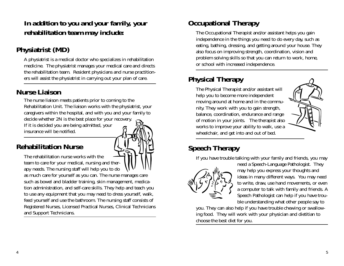#### *In addition to you and your family, your rehabilitation team may include:*

## **Physiatrist (MD)**

A physiatrist is a medical doctor who specializes in rehabilitation medicine. The physiatrist manages your medical care and directs the rehabilitation team. Resident physicians and nurse practitioners will assist the physiatrist in carrying out your plan of care.

### **Nurse Liaison**

The nurse liaison meets patients prior to coming to the Rehabilitation Unit. The liaison works with the physiatrist, your caregivers within the hospital, and with you and your family to decide whether 2N is the best place for your recovery. If it is decided you are being admitted, your insurance will be notified.

### **Rehabilitation Nurse**

team to care for your medical, nursing and ther-

The rehabilitation nurse works with the

apy needs. The nursing staff will help you to do as much care for yourself as you can. The nurse manages care such as bowel and bladder training, skin management, medication administration, and self-care skills. They help and teach you to use any equipment that you may need to dress yourself, walk, feed yourself and use the bathroom. The nursing staff consists of Registered Nurses, Licensed Practical Nurses, Clinical Technicians and Support Technicians.

## **Occupational Therapy**

The Occupational Therapist and/or assistant helps you gain independence in the things you need to do every day, such as eating, bathing, dressing, and getting around your house. They also focus on improving strength, coordination, vision and problem solving skills so that you can return to work, home, or school with increased independence.

## **Physical Therapy**

The Physical Therapist and/or assistant will help you to become more independent moving around at home and in the community. They work with you to gain strength, balance, coordination, endurance and range of motion in your joints. The therapist also works to improve your ability to walk, use a wheelchair, and get into and out of bed.



## **Speech Therapy**

If you have trouble talking with your family and friends, you may



need a Speech-Language Pathologist. They may help you express your thoughts and ideas in many different ways. You may need to write, draw, use hand movements, or even a computer to talk with family and friends. A Speech Pathologist can help if you have trouble understanding what other people say to

you. They can also help if you have trouble chewing or swallowing food. They will work with your physician and dietitian to choose the best diet for you.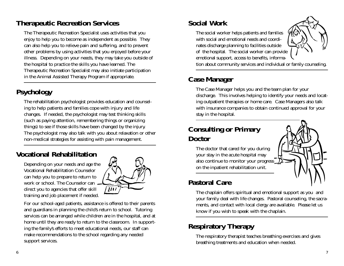#### **Therapeutic Recreation Services**

The Therapeutic Recreation Specialist uses activities that you enjoy to help you to become as independent as possible. They can also help you to relieve pain and suffering, and to prevent other problems by using activities that you enjoyed before your illness. Depending on your needs, they may take you outside of the hospital to practice the skills you have learned. The Therapeutic Recreation Specialist may also initiate participation in the Animal Assisted Therapy Program if appropriate.

## **Psychology**

The rehabilitation psychologist provides education and counseling to help patients and families cope with injury and life changes. If needed, the psychologist may test thinking skills (such as paying attention, remembering things or organizing things) to see if those skills have been changed by the injury. The psychologist may also talk with you about relaxation or other non-medical strategies for assisting with pain management.

### **Vocational Rehabilitation**

Depending on your needs and age the Vocational Rehabilitation Counselorcan help you to prepare to return to work or school. The Counselor candirect you to agencies that offer skill training and job placement if needed.



For our school-aged patients, assistance is offered to their parents and guardians in planning the child's return to school. Tutoring services can be arranged while children are in the hospital, and at home until they are ready to return to the classroom. In supporting the family's efforts to meet educational needs, our staff can make recommendations to the school regarding any needed support services.

### **Social Work**

The social worker helps patients and families with social and emotional needs and coordinates discharge planning to facilities outside of the hospital. The social worker can provide emotional support, access to benefits, informa-



tion about community services and individual or family counseling.

#### **Case Manager**

The Case Manager helps you and the team plan for your discharge. This involves helping to identify your needs and locating outpatient therapies or home care. Case Managers also talk with insurance companies to obtain continued approval for your stay in the hospital.

#### **Consulting or Primary Doctor**

The doctor that cared for you during your stay in the acute hospital may also continue to monitor your progress on the inpatient rehabilitation unit.

### **Pastoral Care**

The chaplain offers spiritual and emotional support as you and your family deal with life changes. Pastoral counseling, the sacraments, and contact with local clergy are available. Please let us know if you wish to speak with the chaplain.

## **Respiratory Therapy**

The respiratory therapist teaches breathing exercises and gives breathing treatments and education when needed.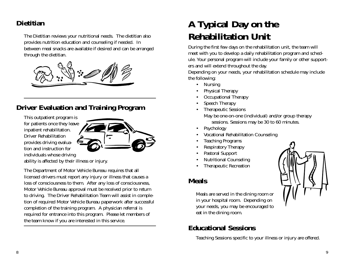#### **Dietitian**

The Dietitian reviews your nutritional needs. The dietitian also provides nutrition education and counseling if needed. In between meal snacks are available if desired and can be arranged through the dietitian.



#### **Driver Evaluation and Training Program**

This outpatient program is for patients once they leave inpatient rehabilitation. Driver Rehabilitationprovides driving evaluation and instruction forindividuals whose driving



ability is affected by their illness or injury.

The Department of Motor Vehicle Bureau requires that all licensed drivers must report any injury or illness that causes a loss of consciousness to them. After any loss of consciousness, Motor Vehicle Bureau approval must be received prior to return to driving. The Driver Rehabilitation Team will assist in completion of required Motor Vehicle Bureau paperwork after successful completion of the training program. A physician referral is required for entrance into this program. Please let members of the team know if you are interested in this service.

## **A Typical Day on the Rehabilitation Unit**

During the first few days on the rehabilitation unit, the team will meet with you to develop a daily rehabilitation program and schedule. Your personal program will include your family or other supporters and will extend throughout the day.

Depending on your needs, your rehabilitation schedule may include the following:

- Nursing
- •Physical Therapy
- •Occupational Therapy
- •Speech Therapy
- Therapeutic Sessions May be one-on-one (individual) and/or group therapy sessions. Sessions may be 30 to 60 minutes.
- •Psychology
- •Vocational Rehabilitation Counseling
- •Teaching Programs
- •Respiratory Therapy
- •Pastoral Support
- •Nutritional Counseling
- •Therapeutic Recreation

#### **Meals**

•

Meals are served in the dining room or in your hospital room. Depending on your needs, you may be encouraged to eat in the dining room.

## **Educational Sessions**

Teaching Sessions specific to your illness or injury are offered.

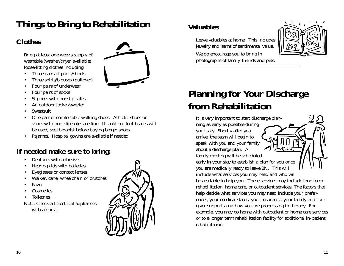## **Things to Bring to Rehabilitation**

## **Clothes**

Bring at least one week's supply of washable (washer/dryer available), loose-fitting clothes including:

- •Three pairs of pants/shorts
- $\bullet$ Three shirts/blouses (pullover)
- •Four pairs of underwear
- •Four pairs of socks
- •Slippers with nonslip soles
- •An outdoor jacket/sweater
- •Sweatsuit
- • One pair of comfortable walking shoes. Athletic shoes or shoes with non-slip soles are fine. If ankle or foot braces will be used, see therapist before buying bigger shoes.
- •Pajamas. Hospital gowns are available if needed.

## **If needed make sure to bring:**

- •Dentures with adhesive
- •Hearing aids with batteries
- •Eyeglasses or contact lenses
- •Walker, cane, wheelchair, or crutches
- •Razor
- •**Cosmetics**
- •**Toiletries**
- Note: Check all electrical appliances with a nurse.



## **Valuables**

Leave valuables at home. This includes jewelry and items of sentimental value.

We do encourage you to bring in photographs of family, friends and pets.



## **Planning for Your Discharge from Rehabilitation**

It is very important to start discharge planning as early as possible during your stay. Shortly after you arrive, the team will begin to speak with you and your family about a discharge plan. A

family meeting will be scheduled early in your stay to establish a plan for you once you are medically ready to leave 2N. This will

include what services you may need and who will be available to help you. These services may include long term rehabilitation, home care, or outpatient services. The factors that help decide what services you may need include your preferences, your medical status, your insurance, your family and caregiver supports and how you are progressing in therapy. For example, you may go home with outpatient or home care services or to a longer term rehabilitation facility for additional in-patient rehabilitation.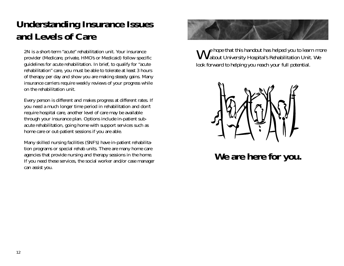## **Understanding Insurance Issues and Levels of Care**

2N is a short-term "acute" rehabilitation unit. Your insuranceprovider (Medicare, private, HMO's or Medicaid) follow specific guidelines for acute rehabilitation. In brief, to qualify for "acute rehabilitation" care, you must be able to tolerate at least 3 hours of therapy per day and show you are making steady gains. Many insurance carriers require weekly reviews of your progress while on the rehabilitation unit.

Every person is different and makes progress at different rates. If you need a much longer time period in rehabilitation and don't require hospital care, another level of care may be available through your insurance plan. Options include in-patient subacute rehabilitation, going home with support services such as home care or out-patient sessions if you are able.

Many skilled nursing facilities (SNF's) have in-patient rehabilitation programs or special rehab units. There are many home care agencies that provide nursing and therapy sessions in the home. If you need these services, the social worker and/or case manager can assist you.



*We hope that this handout has helped you to learn more about University Hospital's Rehabilitation Unit. We look forward to helping you reach your full potential.*



**We are here for you.**